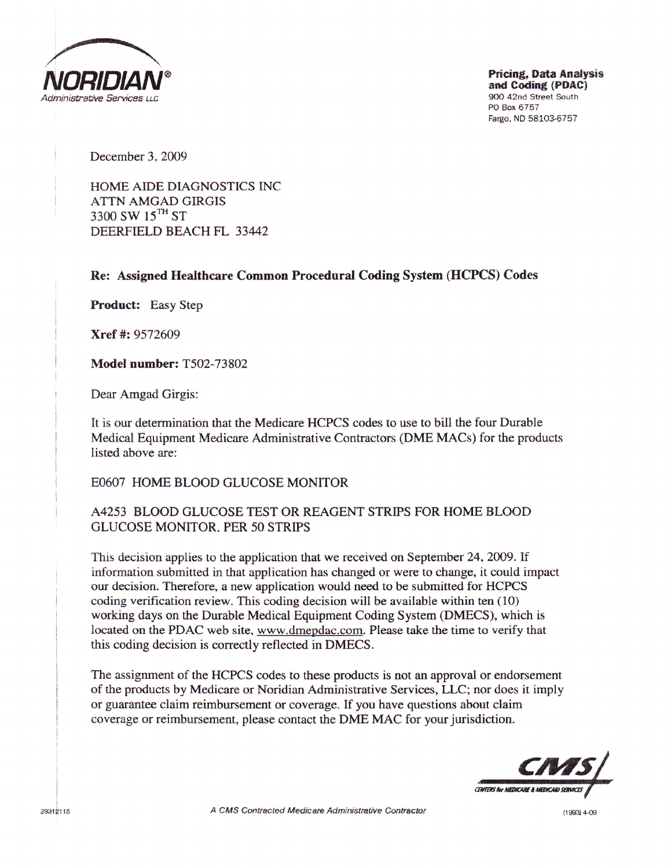

Pricing, Data Analysis and Coding (PDAC) 9OO 42nd Street South PO Box 6757 Fargo, ND 58103-6757

December 3, 2009

HOME AIDE DIAGNOSTICS INC ATTN AMGAD GIRGIS 3300 SW  $15$ <sup>TH</sup> ST DEERFIELD BEACH FL 33442

Re: Assigned Healthcare Common Procedural Coding System (HCPCS) Codes

Product: Easy Step

Xref #:9572609

Model number: T502-73802

Dear Amgad Girgis:

It is our determination that the Medicare HCPCS codes to use to bill the four Durable Medical Equipment Medicare Adminisfative Contractors (DME MACs) for the products listed above are:

EO6O7 HOME BLOOD GLUCOSE MONITOR

## A4253 BLOOD GLUCOSE TEST OR REAGENT STRIPS FOR HOME BLOOD GLUCOSE MONITOR, PER 50 STRIPS

This decision applies to the application that we received on September 24,2009. If information submitted in that application has changed or were to change, it could impact our decision Therefore, a new application would need to be submitted for HCPCS coding verification review. This coding decision will be available within ten (10) working days on the Durable Medical Equipment Coding System (DMECS), which is located on the PDAC web site, www-dmepdac.com. Please take the time to verify that this coding decision is correctly reflected in DMECS.

The assignment of the HCPCS codes to these products is not an approval or endorsement of the producs by Medicare or Noridian Administrative Services, LLC; nor does it imply or guarantee claim reimbursement or coverage. If you have questions about claim coverage or reimbursement, please contact the DME MAC for your jurisdiction.